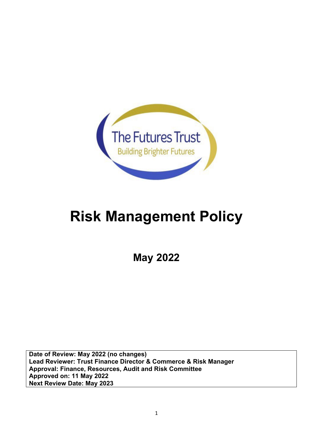

# **Risk Management Policy**

**May 2022**

**Date of Review: May 2022 (no changes) Lead Reviewer: Trust Finance Director & Commerce & Risk Manager Approval: Finance, Resources, Audit and Risk Committee Approved on: 11 May 2022 Next Review Date: May 2023**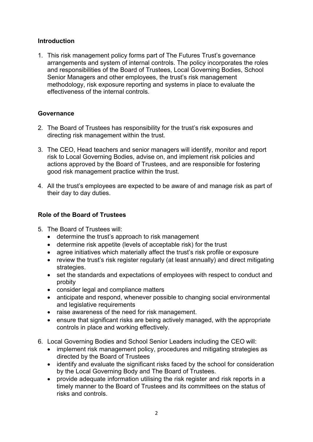## **Introduction**

1. This risk management policy forms part of The Futures Trust's governance arrangements and system of internal controls. The policy incorporates the roles and responsibilities of the Board of Trustees, Local Governing Bodies, School Senior Managers and other employees, the trust's risk management methodology, risk exposure reporting and systems in place to evaluate the effectiveness of the internal controls.

## **Governance**

- 2. The Board of Trustees has responsibility for the trust's risk exposures and directing risk management within the trust.
- 3. The CEO, Head teachers and senior managers will identify, monitor and report risk to Local Governing Bodies, advise on, and implement risk policies and actions approved by the Board of Trustees, and are responsible for fostering good risk management practice within the trust.
- 4. All the trust's employees are expected to be aware of and manage risk as part of their day to day duties.

## **Role of the Board of Trustees**

- 5. The Board of Trustees will:
	- determine the trust's approach to risk management
	- determine risk appetite (levels of acceptable risk) for the trust
	- agree initiatives which materially affect the trust's risk profile or exposure
	- review the trust's risk register regularly (at least annually) and direct mitigating strategies.
	- set the standards and expectations of employees with respect to conduct and probity
	- consider legal and compliance matters
	- anticipate and respond, whenever possible to changing social environmental and legislative requirements
	- raise awareness of the need for risk management.
	- ensure that significant risks are being actively managed, with the appropriate controls in place and working effectively.
- 6. Local Governing Bodies and School Senior Leaders including the CEO will:
	- implement risk management policy, procedures and mitigating strategies as directed by the Board of Trustees
	- identify and evaluate the significant risks faced by the school for consideration by the Local Governing Body and The Board of Trustees.
	- provide adequate information utilising the risk register and risk reports in a timely manner to the Board of Trustees and its committees on the status of risks and controls.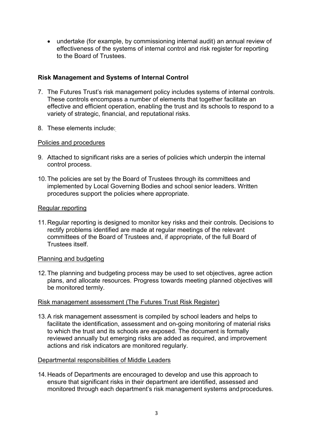• undertake (for example, by commissioning internal audit) an annual review of effectiveness of the systems of internal control and risk register for reporting to the Board of Trustees.

# **Risk Management and Systems of Internal Control**

- 7. The Futures Trust's risk management policy includes systems of internal controls. These controls encompass a number of elements that together facilitate an effective and efficient operation, enabling the trust and its schools to respond to a variety of strategic, financial, and reputational risks.
- 8. These elements include:

# Policies and procedures

- 9. Attached to significant risks are a series of policies which underpin the internal control process.
- 10.The policies are set by the Board of Trustees through its committees and implemented by Local Governing Bodies and school senior leaders. Written procedures support the policies where appropriate.

## Regular reporting

11.Regular reporting is designed to monitor key risks and their controls. Decisions to rectify problems identified are made at regular meetings of the relevant committees of the Board of Trustees and, if appropriate, of the full Board of Trustees itself.

## Planning and budgeting

12.The planning and budgeting process may be used to set objectives, agree action plans, and allocate resources. Progress towards meeting planned objectives will be monitored termly.

# Risk management assessment (The Futures Trust Risk Register)

13.A risk management assessment is compiled by school leaders and helps to facilitate the identification, assessment and on-going monitoring of material risks to which the trust and its schools are exposed. The document is formally reviewed annually but emerging risks are added as required, and improvement actions and risk indicators are monitored regularly.

# Departmental responsibilities of Middle Leaders

14.Heads of Departments are encouraged to develop and use this approach to ensure that significant risks in their department are identified, assessed and monitored through each department's risk management systems andprocedures.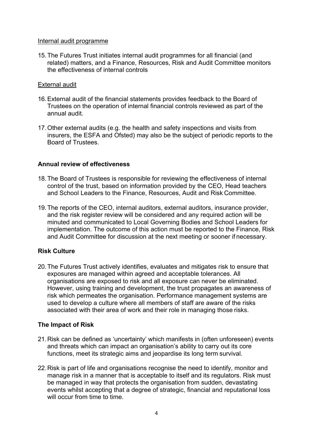#### Internal audit programme

15.The Futures Trust initiates internal audit programmes for all financial (and related) matters, and a Finance, Resources, Risk and Audit Committee monitors the effectiveness of internal controls

## External audit

- 16.External audit of the financial statements provides feedback to the Board of Trustees on the operation of internal financial controls reviewed as part of the annual audit.
- 17.Other external audits (e.g. the health and safety inspections and visits from insurers, the ESFA and Ofsted) may also be the subject of periodic reports to the Board of Trustees.

## **Annual review of effectiveness**

- 18.The Board of Trustees is responsible for reviewing the effectiveness of internal control of the trust, based on information provided by the CEO, Head teachers and School Leaders to the Finance, Resources, Audit and Risk Committee.
- 19.The reports of the CEO, internal auditors, external auditors, insurance provider, and the risk register review will be considered and any required action will be minuted and communicated to Local Governing Bodies and School Leaders for implementation. The outcome of this action must be reported to the Finance, Risk and Audit Committee for discussion at the next meeting or sooner if necessary.

# **Risk Culture**

20.The Futures Trust actively identifies, evaluates and mitigates risk to ensure that exposures are managed within agreed and acceptable tolerances. All organisations are exposed to risk and all exposure can never be eliminated. However, using training and development, the trust propagates an awareness of risk which permeates the organisation. Performance management systems are used to develop a culture where all members of staff are aware of the risks associated with their area of work and their role in managing those risks.

# **The Impact of Risk**

- 21.Risk can be defined as 'uncertainty' which manifests in (often unforeseen) events and threats which can impact an organisation's ability to carry out its core functions, meet its strategic aims and jeopardise its long term survival.
- 22.Risk is part of life and organisations recognise the need to identify, monitor and manage risk in a manner that is acceptable to itself and its regulators. Risk must be managed in way that protects the organisation from sudden, devastating events whilst accepting that a degree of strategic, financial and reputational loss will occur from time to time.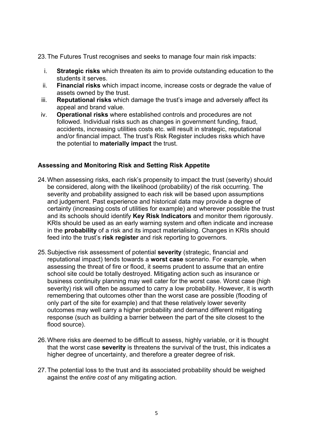23.The Futures Trust recognises and seeks to manage four main risk impacts:

- i. **Strategic risks** which threaten its aim to provide outstanding education to the students it serves.
- ii. **Financial risks** which impact income, increase costs or degrade the value of assets owned by the trust.
- iii. **Reputational risks** which damage the trust's image and adversely affect its appeal and brand value.
- iv. **Operational risks** where established controls and procedures are not followed. Individual risks such as changes in government funding, fraud, accidents, increasing utilities costs etc. will result in strategic, reputational and/or financial impact. The trust's Risk Register includes risks which have the potential to **materially impact** the trust.

# **Assessing and Monitoring Risk and Setting Risk Appetite**

- 24.When assessing risks, each risk's propensity to impact the trust (severity) should be considered, along with the likelihood (probability) of the risk occurring. The severity and probability assigned to each risk will be based upon assumptions and judgement. Past experience and historical data may provide a degree of certainty (increasing costs of utilities for example) and wherever possible the trust and its schools should identify **Key Risk Indicators** and monitor them rigorously. KRIs should be used as an early warning system and often indicate and increase in the **probability** of a risk and its impact materialising. Changes in KRIs should feed into the trust's **risk register** and risk reporting to governors.
- 25.Subjective risk assessment of potential **severity** (strategic, financial and reputational impact) tends towards a **worst case** scenario. For example, when assessing the threat of fire or flood, it seems prudent to assume that an entire school site could be totally destroyed. Mitigating action such as insurance or business continuity planning may well cater for the worst case. Worst case (high severity) risk will often be assumed to carry a low probability. However, it is worth remembering that outcomes other than the worst case are possible (flooding of only part of the site for example) and that these relatively lower severity outcomes may well carry a higher probability and demand different mitigating response (such as building a barrier between the part of the site closest to the flood source).
- 26.Where risks are deemed to be difficult to assess, highly variable, or it is thought that the worst case **severity** is threatens the survival of the trust, this indicates a higher degree of uncertainty, and therefore a greater degree of risk.
- 27.The potential loss to the trust and its associated probability should be weighed against the *entire cost* of any mitigating action.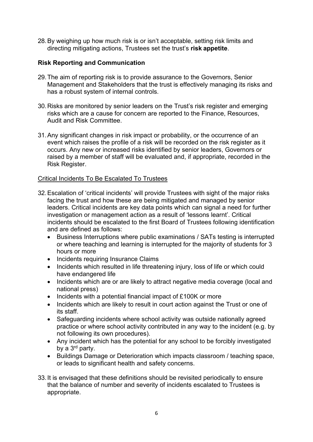28.By weighing up how much risk is or isn't acceptable, setting risk limits and directing mitigating actions, Trustees set the trust's **risk appetite**.

## **Risk Reporting and Communication**

- 29.The aim of reporting risk is to provide assurance to the Governors, Senior Management and Stakeholders that the trust is effectively managing its risks and has a robust system of internal controls.
- 30.Risks are monitored by senior leaders on the Trust's risk register and emerging risks which are a cause for concern are reported to the Finance, Resources, Audit and Risk Committee.
- 31.Any significant changes in risk impact or probability, or the occurrence of an event which raises the profile of a risk will be recorded on the risk register as it occurs. Any new or increased risks identified by senior leaders, Governors or raised by a member of staff will be evaluated and, if appropriate, recorded in the Risk Register.

## Critical Incidents To Be Escalated To Trustees

- 32.Escalation of 'critical incidents' will provide Trustees with sight of the major risks facing the trust and how these are being mitigated and managed by senior leaders. Critical incidents are key data points which can signal a need for further investigation or management action as a result of 'lessons learnt'. Critical incidents should be escalated to the first Board of Trustees following identification and are defined as follows:
	- Business Interruptions where public examinations / SATs testing is interrupted or where teaching and learning is interrupted for the majority of students for 3 hours or more
	- Incidents requiring Insurance Claims
	- Incidents which resulted in life threatening injury, loss of life or which could have endangered life
	- Incidents which are or are likely to attract negative media coverage (local and national press)
	- Incidents with a potential financial impact of £100K or more
	- Incidents which are likely to result in court action against the Trust or one of its staff.
	- Safeguarding incidents where school activity was outside nationally agreed practice or where school activity contributed in any way to the incident (e.g. by not following its own procedures).
	- Any incident which has the potential for any school to be forcibly investigated by a 3rd party.
	- Buildings Damage or Deterioration which impacts classroom / teaching space, or leads to significant health and safety concerns.
- 33.It is envisaged that these definitions should be revisited periodically to ensure that the balance of number and severity of incidents escalated to Trustees is appropriate.